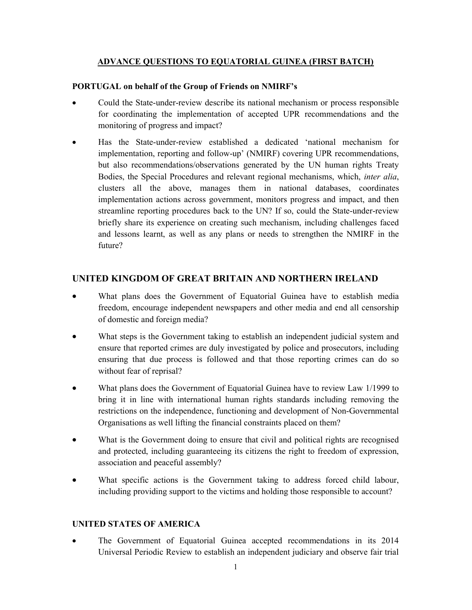### ADVANCE QUESTIONS TO EQUATORIAL GUINEA (FIRST BATCH)

#### PORTUGAL on behalf of the Group of Friends on NMIRF's

- Could the State-under-review describe its national mechanism or process responsible for coordinating the implementation of accepted UPR recommendations and the monitoring of progress and impact?
- Has the State-under-review established a dedicated 'national mechanism for implementation, reporting and follow-up' (NMIRF) covering UPR recommendations, but also recommendations/observations generated by the UN human rights Treaty Bodies, the Special Procedures and relevant regional mechanisms, which, inter alia, clusters all the above, manages them in national databases, coordinates implementation actions across government, monitors progress and impact, and then streamline reporting procedures back to the UN? If so, could the State-under-review briefly share its experience on creating such mechanism, including challenges faced and lessons learnt, as well as any plans or needs to strengthen the NMIRF in the future?

# UNITED KINGDOM OF GREAT BRITAIN AND NORTHERN IRELAND

- What plans does the Government of Equatorial Guinea have to establish media freedom, encourage independent newspapers and other media and end all censorship of domestic and foreign media?
- What steps is the Government taking to establish an independent judicial system and ensure that reported crimes are duly investigated by police and prosecutors, including ensuring that due process is followed and that those reporting crimes can do so without fear of reprisal?
- What plans does the Government of Equatorial Guinea have to review Law 1/1999 to bring it in line with international human rights standards including removing the restrictions on the independence, functioning and development of Non-Governmental Organisations as well lifting the financial constraints placed on them?
- What is the Government doing to ensure that civil and political rights are recognised and protected, including guaranteeing its citizens the right to freedom of expression, association and peaceful assembly?
- What specific actions is the Government taking to address forced child labour, including providing support to the victims and holding those responsible to account?

### UNITED STATES OF AMERICA

• The Government of Equatorial Guinea accepted recommendations in its 2014 Universal Periodic Review to establish an independent judiciary and observe fair trial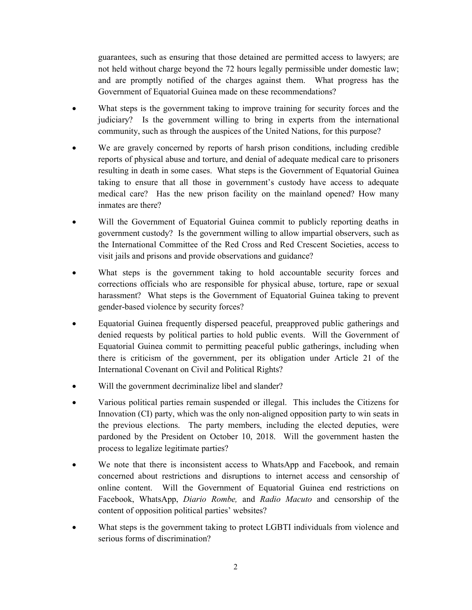guarantees, such as ensuring that those detained are permitted access to lawyers; are not held without charge beyond the 72 hours legally permissible under domestic law; and are promptly notified of the charges against them. What progress has the Government of Equatorial Guinea made on these recommendations?

- What steps is the government taking to improve training for security forces and the judiciary? Is the government willing to bring in experts from the international community, such as through the auspices of the United Nations, for this purpose?
- We are gravely concerned by reports of harsh prison conditions, including credible reports of physical abuse and torture, and denial of adequate medical care to prisoners resulting in death in some cases. What steps is the Government of Equatorial Guinea taking to ensure that all those in government's custody have access to adequate medical care? Has the new prison facility on the mainland opened? How many inmates are there?
- Will the Government of Equatorial Guinea commit to publicly reporting deaths in government custody? Is the government willing to allow impartial observers, such as the International Committee of the Red Cross and Red Crescent Societies, access to visit jails and prisons and provide observations and guidance?
- What steps is the government taking to hold accountable security forces and corrections officials who are responsible for physical abuse, torture, rape or sexual harassment? What steps is the Government of Equatorial Guinea taking to prevent gender-based violence by security forces?
- Equatorial Guinea frequently dispersed peaceful, preapproved public gatherings and denied requests by political parties to hold public events. Will the Government of Equatorial Guinea commit to permitting peaceful public gatherings, including when there is criticism of the government, per its obligation under Article 21 of the International Covenant on Civil and Political Rights?
- Will the government decriminalize libel and slander?
- Various political parties remain suspended or illegal. This includes the Citizens for Innovation (CI) party, which was the only non-aligned opposition party to win seats in the previous elections. The party members, including the elected deputies, were pardoned by the President on October 10, 2018. Will the government hasten the process to legalize legitimate parties?
- We note that there is inconsistent access to WhatsApp and Facebook, and remain concerned about restrictions and disruptions to internet access and censorship of online content. Will the Government of Equatorial Guinea end restrictions on Facebook, WhatsApp, Diario Rombe, and Radio Macuto and censorship of the content of opposition political parties' websites?
- What steps is the government taking to protect LGBTI individuals from violence and serious forms of discrimination?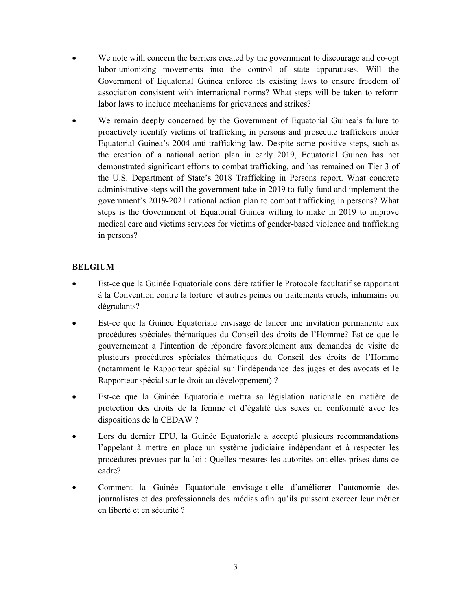- We note with concern the barriers created by the government to discourage and co-opt labor-unionizing movements into the control of state apparatuses. Will the Government of Equatorial Guinea enforce its existing laws to ensure freedom of association consistent with international norms? What steps will be taken to reform labor laws to include mechanisms for grievances and strikes?
- We remain deeply concerned by the Government of Equatorial Guinea's failure to proactively identify victims of trafficking in persons and prosecute traffickers under Equatorial Guinea's 2004 anti-trafficking law. Despite some positive steps, such as the creation of a national action plan in early 2019, Equatorial Guinea has not demonstrated significant efforts to combat trafficking, and has remained on Tier 3 of the U.S. Department of State's 2018 Trafficking in Persons report. What concrete administrative steps will the government take in 2019 to fully fund and implement the government's 2019-2021 national action plan to combat trafficking in persons? What steps is the Government of Equatorial Guinea willing to make in 2019 to improve medical care and victims services for victims of gender-based violence and trafficking in persons?

# BELGIUM

- Est-ce que la Guinée Equatoriale considère ratifier le Protocole facultatif se rapportant à la Convention contre la torture et autres peines ou traitements cruels, inhumains ou dégradants?
- Est-ce que la Guinée Equatoriale envisage de lancer une invitation permanente aux procédures spéciales thématiques du Conseil des droits de l'Homme? Est-ce que le gouvernement a l'intention de répondre favorablement aux demandes de visite de plusieurs procédures spéciales thématiques du Conseil des droits de l'Homme (notamment le Rapporteur spécial sur l'indépendance des juges et des avocats et le Rapporteur spécial sur le droit au développement) ?
- Est-ce que la Guinée Equatoriale mettra sa législation nationale en matière de protection des droits de la femme et d'égalité des sexes en conformité avec les dispositions de la CEDAW ?
- Lors du dernier EPU, la Guinée Equatoriale a accepté plusieurs recommandations l'appelant à mettre en place un système judiciaire indépendant et à respecter les procédures prévues par la loi : Quelles mesures les autorités ont-elles prises dans ce cadre?
- Comment la Guinée Equatoriale envisage-t-elle d'améliorer l'autonomie des journalistes et des professionnels des médias afin qu'ils puissent exercer leur métier en liberté et en sécurité ?